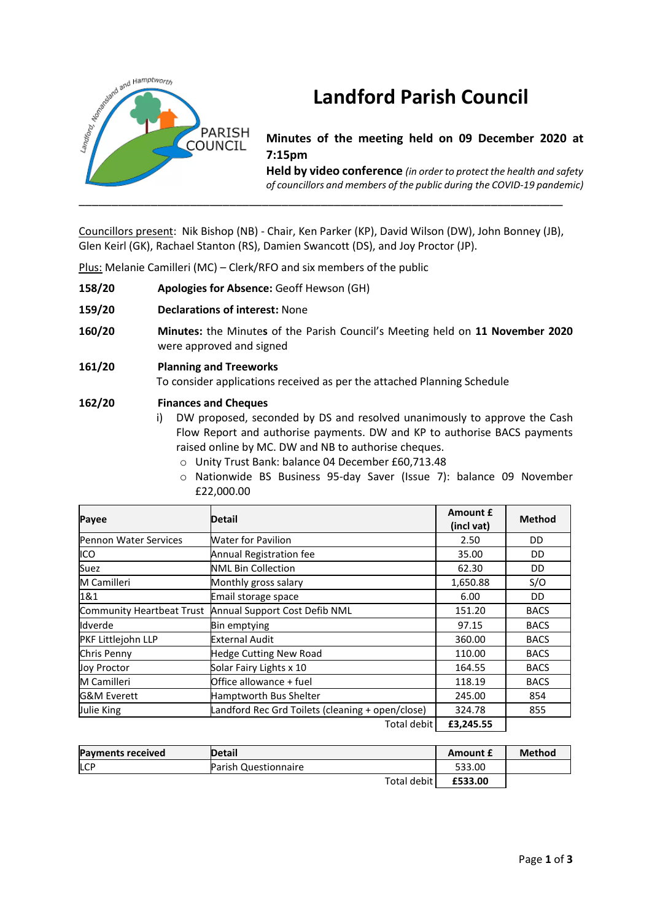

# **Landford Parish Council**

**Minutes of the meeting held on 09 December 2020 at 7:15pm**

**Held by video conference** *(in order to protect the health and safety of councillors and members of the public during the COVID-19 pandemic)* 

Councillors present: Nik Bishop (NB) - Chair, Ken Parker (KP), David Wilson (DW), John Bonney (JB), Glen Keirl (GK), Rachael Stanton (RS), Damien Swancott (DS), and Joy Proctor (JP).

Plus: Melanie Camilleri (MC) – Clerk/RFO and six members of the public

- **158/20 Apologies for Absence:** Geoff Hewson (GH)
- **159/20 Declarations of interest:** None
- **160/20 Minutes:** the Minute**s** of the Parish Council's Meeting held on **11 November 2020** were approved and signed
- **161/20 Planning and Treeworks** To consider applications received as per the attached Planning Schedule

# **162/20 Finances and Cheques**

- i) DW proposed, seconded by DS and resolved unanimously to approve the Cash Flow Report and authorise payments. DW and KP to authorise BACS payments raised online by MC. DW and NB to authorise cheques.
	- o Unity Trust Bank: balance 04 December £60,713.48
	- o Nationwide BS Business 95-day Saver (Issue 7): balance 09 November £22,000.00

| Payee                        | Detail                                           | Amount £<br>(incl vat) | <b>Method</b> |
|------------------------------|--------------------------------------------------|------------------------|---------------|
| <b>Pennon Water Services</b> | <b>Water for Pavilion</b>                        | 2.50                   | DD            |
| ICO                          | Annual Registration fee                          | 35.00                  | DD            |
| Suez                         | <b>NML Bin Collection</b>                        | 62.30                  | DD            |
| M Camilleri                  | Monthly gross salary                             | 1,650.88               | S/O           |
| 1&1                          | Email storage space                              | 6.00                   | DD.           |
| Community Heartbeat Trust    | Annual Support Cost Defib NML                    | 151.20                 | <b>BACS</b>   |
| Idverde                      | <b>Bin emptying</b>                              | 97.15                  | <b>BACS</b>   |
| PKF Littlejohn LLP           | <b>External Audit</b>                            | 360.00                 | <b>BACS</b>   |
| Chris Penny                  | <b>Hedge Cutting New Road</b>                    | 110.00                 | <b>BACS</b>   |
| <b>Joy Proctor</b>           | Solar Fairy Lights x 10                          | 164.55                 | <b>BACS</b>   |
| M Camilleri                  | Office allowance + fuel                          | 118.19                 | <b>BACS</b>   |
| <b>G&amp;M Everett</b>       | Hamptworth Bus Shelter                           | 245.00                 | 854           |
| Julie King                   | Landford Rec Grd Toilets (cleaning + open/close) | 324.78                 | 855           |
|                              | Total debit                                      | £3,245.55              |               |

| <b>Payments received</b> | <b>Detail</b>        | <b>Amount £</b> | Method |
|--------------------------|----------------------|-----------------|--------|
| <b>LCP</b>               | Parish Questionnaire | 533.00          |        |
|                          | Total debit I        | £533.00         |        |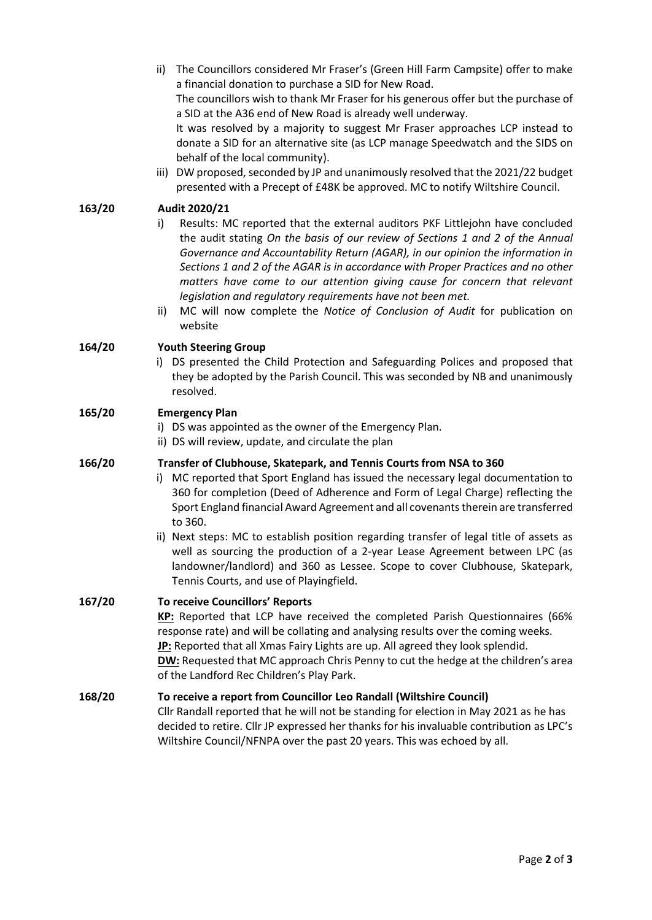ii) The Councillors considered Mr Fraser's (Green Hill Farm Campsite) offer to make a financial donation to purchase a SID for New Road.

The councillors wish to thank Mr Fraser for his generous offer but the purchase of a SID at the A36 end of New Road is already well underway.

It was resolved by a majority to suggest Mr Fraser approaches LCP instead to donate a SID for an alternative site (as LCP manage Speedwatch and the SIDS on behalf of the local community).

iii) DW proposed, seconded by JP and unanimously resolved that the 2021/22 budget presented with a Precept of £48K be approved. MC to notify Wiltshire Council.

# **163/20 Audit 2020/21**

- i) Results: MC reported that the external auditors PKF Littlejohn have concluded the audit stating *On the basis of our review of Sections 1 and 2 of the Annual Governance and Accountability Return (AGAR), in our opinion the information in Sections 1 and 2 of the AGAR is in accordance with Proper Practices and no other matters have come to our attention giving cause for concern that relevant legislation and regulatory requirements have not been met.*
- ii) MC will now complete the *Notice of Conclusion of Audit* for publication on website

# **164/20 Youth Steering Group**

i) DS presented the Child Protection and Safeguarding Polices and proposed that they be adopted by the Parish Council. This was seconded by NB and unanimously resolved.

## **165/20 Emergency Plan**

- i) DS was appointed as the owner of the Emergency Plan.
- ii) DS will review, update, and circulate the plan

## **166/20 Transfer of Clubhouse, Skatepark, and Tennis Courts from NSA to 360**

- i) MC reported that Sport England has issued the necessary legal documentation to 360 for completion (Deed of Adherence and Form of Legal Charge) reflecting the Sport England financial Award Agreement and all covenants therein are transferred to 360.
- ii) Next steps: MC to establish position regarding transfer of legal title of assets as well as sourcing the production of a 2-year Lease Agreement between LPC (as landowner/landlord) and 360 as Lessee. Scope to cover Clubhouse, Skatepark, Tennis Courts, and use of Playingfield.

#### **167/20 To receive Councillors' Reports**

**KP:** Reported that LCP have received the completed Parish Questionnaires (66% response rate) and will be collating and analysing results over the coming weeks. **JP:** Reported that all Xmas Fairy Lights are up. All agreed they look splendid. **DW:** Requested that MC approach Chris Penny to cut the hedge at the children's area of the Landford Rec Children's Play Park.

#### **168/20 To receive a report from Councillor Leo Randall (Wiltshire Council)**

Cllr Randall reported that he will not be standing for election in May 2021 as he has decided to retire. Cllr JP expressed her thanks for his invaluable contribution as LPC's Wiltshire Council/NFNPA over the past 20 years. This was echoed by all.